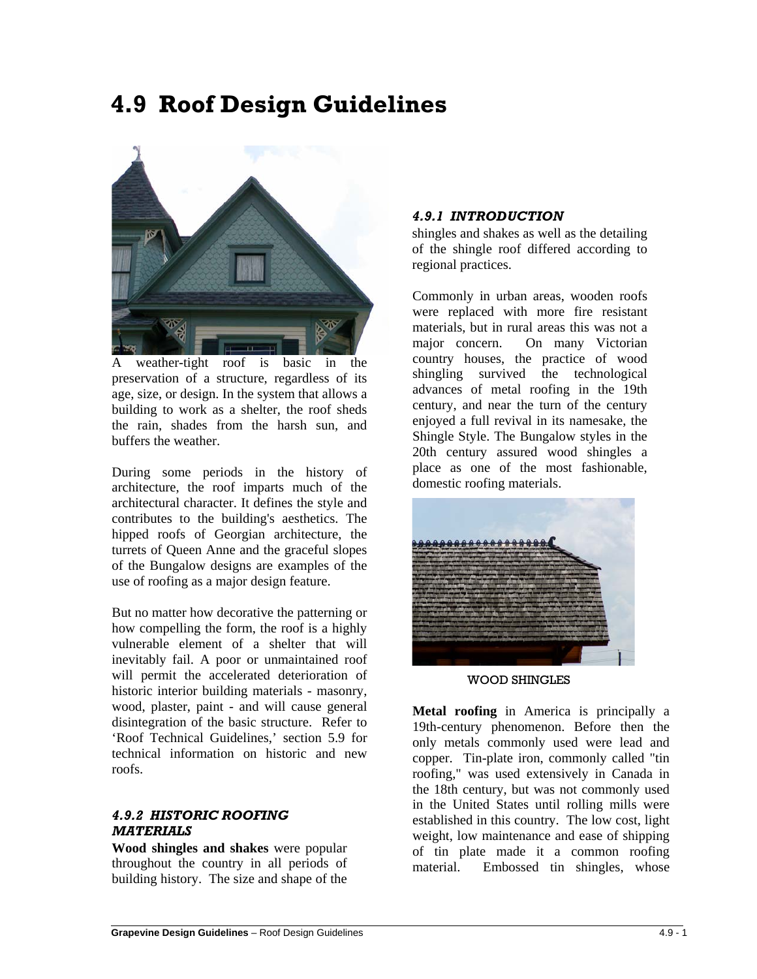# **4.9 Roof Design Guidelines**



A weather-tight roof is basic in the preservation of a structure, regardless of its age, size, or design. In the system that allows a building to work as a shelter, the roof sheds the rain, shades from the harsh sun, and buffers the weather.

During some periods in the history of architecture, the roof imparts much of the architectural character. It defines the style and contributes to the building's aesthetics. The hipped roofs of Georgian architecture, the turrets of Queen Anne and the graceful slopes of the Bungalow designs are examples of the use of roofing as a major design feature.

But no matter how decorative the patterning or how compelling the form, the roof is a highly vulnerable element of a shelter that will inevitably fail. A poor or unmaintained roof will permit the accelerated deterioration of historic interior building materials - masonry, wood, plaster, paint - and will cause general disintegration of the basic structure. Refer to 'Roof Technical Guidelines,' section 5.9 for technical information on historic and new roofs.

## *4.9.2 HISTORIC ROOFING MATERIALS*

**Wood shingles and shakes** were popular throughout the country in all periods of building history. The size and shape of the

## *4.9.1 INTRODUCTION*

shingles and shakes as well as the detailing of the shingle roof differed according to regional practices.

Commonly in urban areas, wooden roofs were replaced with more fire resistant materials, but in rural areas this was not a major concern. On many Victorian country houses, the practice of wood shingling survived the technological advances of metal roofing in the 19th century, and near the turn of the century enjoyed a full revival in its namesake, the Shingle Style. The Bungalow styles in the 20th century assured wood shingles a place as one of the most fashionable, domestic roofing materials.



WOOD SHINGLES

**Metal roofing** in America is principally a 19th-century phenomenon. Before then the only metals commonly used were lead and copper. Tin-plate iron, commonly called "tin roofing," was used extensively in Canada in the 18th century, but was not commonly used in the United States until rolling mills were established in this country. The low cost, light weight, low maintenance and ease of shipping of tin plate made it a common roofing material. Embossed tin shingles, whose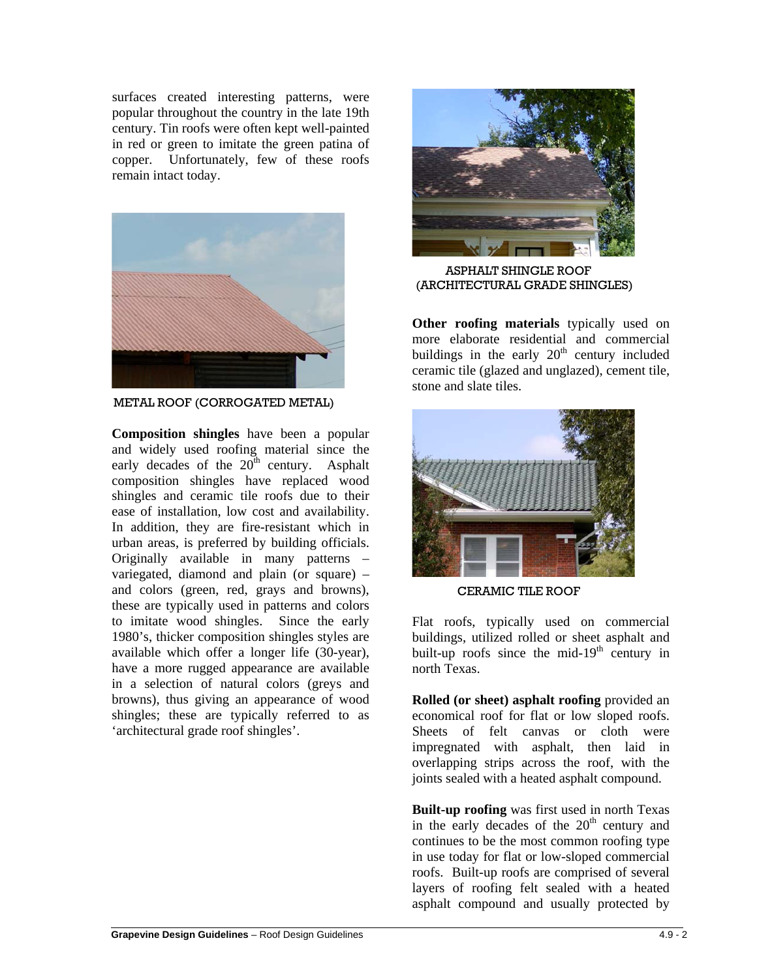surfaces created interesting patterns, were popular throughout the country in the late 19th century. Tin roofs were often kept well-painted in red or green to imitate the green patina of copper. Unfortunately, few of these roofs remain intact today.



METAL ROOF (CORROGATED METAL)

**Composition shingles** have been a popular and widely used roofing material since the early decades of the  $20<sup>th</sup>$  century. Asphalt composition shingles have replaced wood shingles and ceramic tile roofs due to their ease of installation, low cost and availability. In addition, they are fire-resistant which in urban areas, is preferred by building officials. Originally available in many patterns – variegated, diamond and plain (or square) – and colors (green, red, grays and browns), these are typically used in patterns and colors to imitate wood shingles. Since the early 1980's, thicker composition shingles styles are available which offer a longer life (30-year), have a more rugged appearance are available in a selection of natural colors (greys and browns), thus giving an appearance of wood shingles; these are typically referred to as 'architectural grade roof shingles'.



ASPHALT SHINGLE ROOF (ARCHITECTURAL GRADE SHINGLES)

**Other roofing materials** typically used on more elaborate residential and commercial buildings in the early  $20<sup>th</sup>$  century included ceramic tile (glazed and unglazed), cement tile, stone and slate tiles.



CERAMIC TILE ROOF

Flat roofs, typically used on commercial buildings, utilized rolled or sheet asphalt and built-up roofs since the mid-19<sup>th</sup> century in north Texas.

**Rolled (or sheet) asphalt roofing** provided an economical roof for flat or low sloped roofs. Sheets of felt canvas or cloth were impregnated with asphalt, then laid in overlapping strips across the roof, with the joints sealed with a heated asphalt compound.

**Built-up roofing** was first used in north Texas in the early decades of the  $20<sup>th</sup>$  century and continues to be the most common roofing type in use today for flat or low-sloped commercial roofs. Built-up roofs are comprised of several layers of roofing felt sealed with a heated asphalt compound and usually protected by

 $\overline{a}$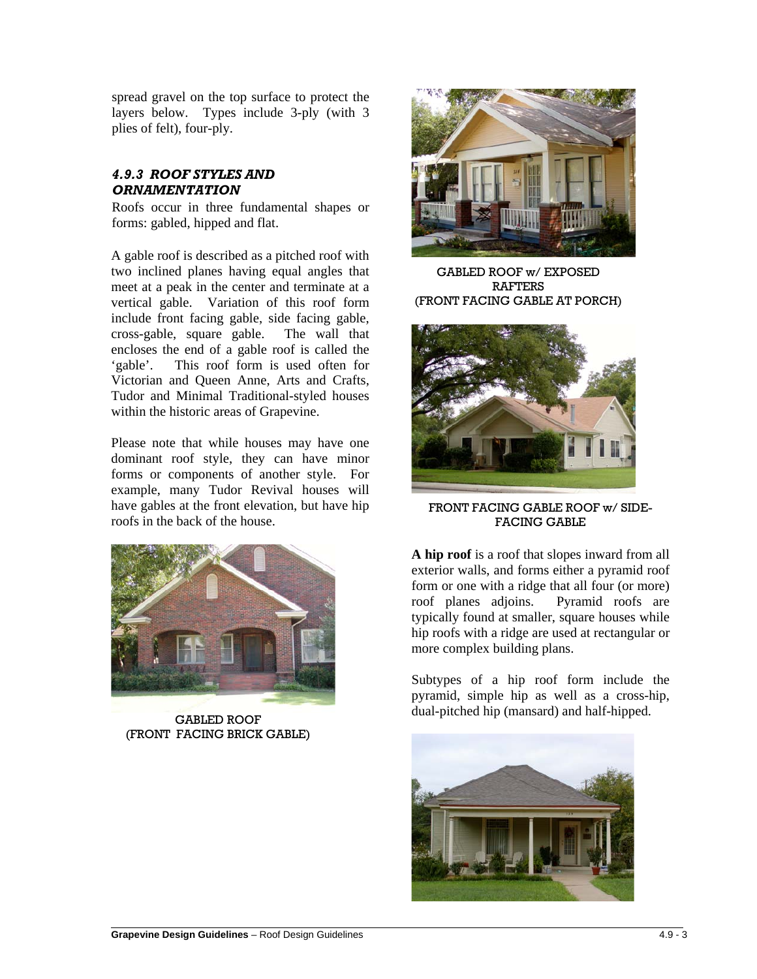spread gravel on the top surface to protect the layers below. Types include 3-ply (with 3 plies of felt), four-ply.

## *4.9.3 ROOF STYLES AND ORNAMENTATION*

Roofs occur in three fundamental shapes or forms: gabled, hipped and flat.

A gable roof is described as a pitched roof with two inclined planes having equal angles that meet at a peak in the center and terminate at a vertical gable. Variation of this roof form include front facing gable, side facing gable, cross-gable, square gable. The wall that encloses the end of a gable roof is called the 'gable'. This roof form is used often for Victorian and Queen Anne, Arts and Crafts, Tudor and Minimal Traditional-styled houses within the historic areas of Grapevine.

Please note that while houses may have one dominant roof style, they can have minor forms or components of another style. For example, many Tudor Revival houses will have gables at the front elevation, but have hip roofs in the back of the house.



GABLED ROOF (FRONT FACING BRICK GABLE)



GABLED ROOF w/ EXPOSED RAFTERS (FRONT FACING GABLE AT PORCH)



FRONT FACING GABLE ROOF w/ SIDE-FACING GABLE

**A hip roof** is a roof that slopes inward from all exterior walls, and forms either a pyramid roof form or one with a ridge that all four (or more) roof planes adjoins. Pyramid roofs are typically found at smaller, square houses while hip roofs with a ridge are used at rectangular or more complex building plans.

Subtypes of a hip roof form include the pyramid, simple hip as well as a cross-hip, dual-pitched hip (mansard) and half-hipped.

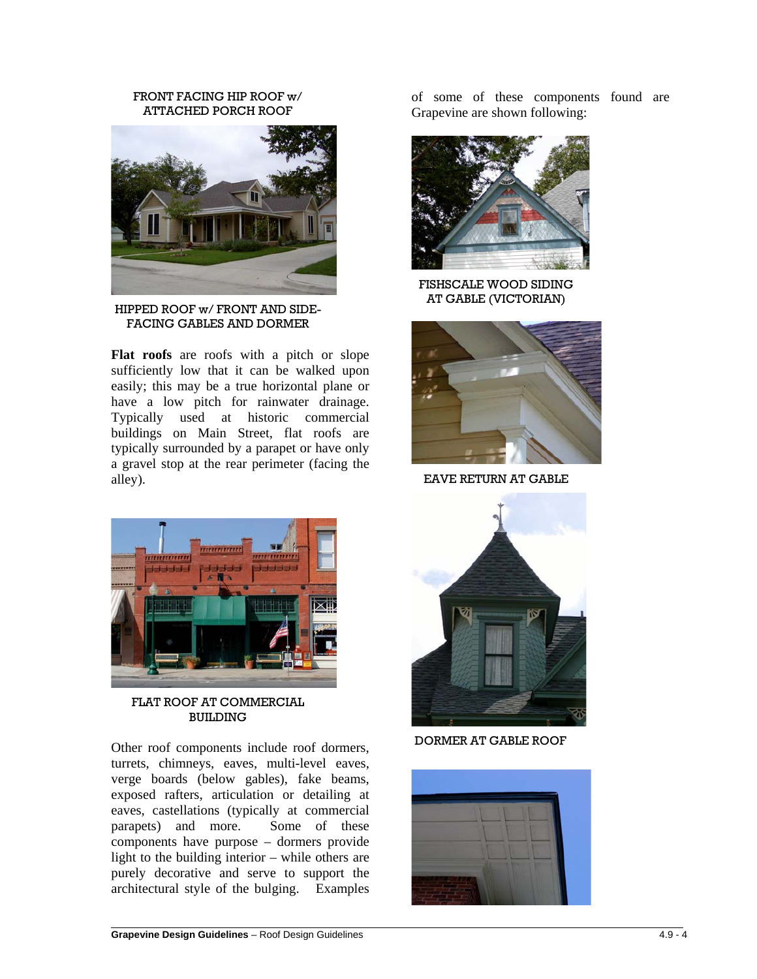#### FRONT FACING HIP ROOF w/ ATTACHED PORCH ROOF



HIPPED ROOF w/ FRONT AND SIDE-FACING GABLES AND DORMER

**Flat roofs** are roofs with a pitch or slope sufficiently low that it can be walked upon easily; this may be a true horizontal plane or have a low pitch for rainwater drainage. Typically used at historic commercial buildings on Main Street, flat roofs are typically surrounded by a parapet or have only a gravel stop at the rear perimeter (facing the alley).



FLAT ROOF AT COMMERCIAL **BUILDING** 

Other roof components include roof dormers, turrets, chimneys, eaves, multi-level eaves, verge boards (below gables), fake beams, exposed rafters, articulation or detailing at eaves, castellations (typically at commercial parapets) and more. Some of these components have purpose – dormers provide light to the building interior – while others are purely decorative and serve to support the architectural style of the bulging. Examples

of some of these components found are Grapevine are shown following:



FISHSCALE WOOD SIDING AT GABLE (VICTORIAN)



EAVE RETURN AT GABLE



DORMER AT GABLE ROOF



 $\overline{a}$